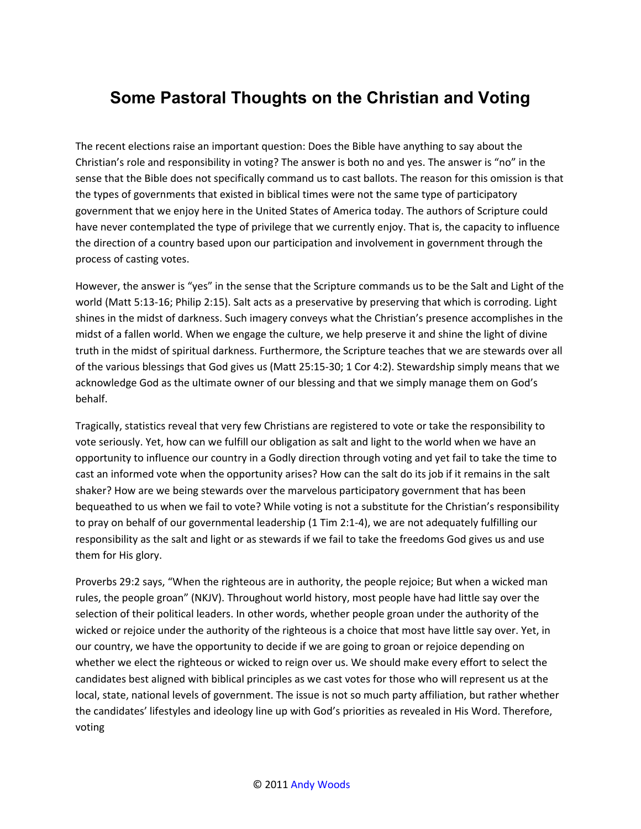## **Some Pastoral Thoughts on the Christian and Voting**

The recent elections raise an important question: Does the Bible have anything to say about the Christian's role and responsibility in voting? The answer is both no and yes. The answer is "no" in the sense that the Bible does not specifically command us to cast ballots. The reason for this omission is that the types of governments that existed in biblical times were not the same type of participatory government that we enjoy here in the United States of America today. The authors of Scripture could have never contemplated the type of privilege that we currently enjoy. That is, the capacity to influence the direction of a country based upon our participation and involvement in government through the process of casting votes.

However, the answer is "yes" in the sense that the Scripture commands us to be the Salt and Light of the world (Matt 5:13-16; Philip 2:15). Salt acts as a preservative by preserving that which is corroding. Light shines in the midst of darkness. Such imagery conveys what the Christian's presence accomplishes in the midst of a fallen world. When we engage the culture, we help preserve it and shine the light of divine truth in the midst of spiritual darkness. Furthermore, the Scripture teaches that we are stewards over all of the various blessings that God gives us (Matt 25:15-30; 1 Cor 4:2). Stewardship simply means that we acknowledge God as the ultimate owner of our blessing and that we simply manage them on God's behalf.

Tragically, statistics reveal that very few Christians are registered to vote or take the responsibility to vote seriously. Yet, how can we fulfill our obligation as salt and light to the world when we have an opportunity to influence our country in a Godly direction through voting and yet fail to take the time to cast an informed vote when the opportunity arises? How can the salt do its job if it remains in the salt shaker? How are we being stewards over the marvelous participatory government that has been bequeathed to us when we fail to vote? While voting is not a substitute for the Christian's responsibility to pray on behalf of our governmental leadership (1 Tim 2:1-4), we are not adequately fulfilling our responsibility as the salt and light or as stewards if we fail to take the freedoms God gives us and use them for His glory.

Proverbs 29:2 says, "When the righteous are in authority, the people rejoice; But when a wicked man rules, the people groan" (NKJV). Throughout world history, most people have had little say over the selection of their political leaders. In other words, whether people groan under the authority of the wicked or rejoice under the authority of the righteous is a choice that most have little say over. Yet, in our country, we have the opportunity to decide if we are going to groan or rejoice depending on whether we elect the righteous or wicked to reign over us. We should make every effort to select the candidates best aligned with biblical principles as we cast votes for those who will represent us at the local, state, national levels of government. The issue is not so much party affiliation, but rather whether the candidates' lifestyles and ideology line up with God's priorities as revealed in His Word. Therefore, voting